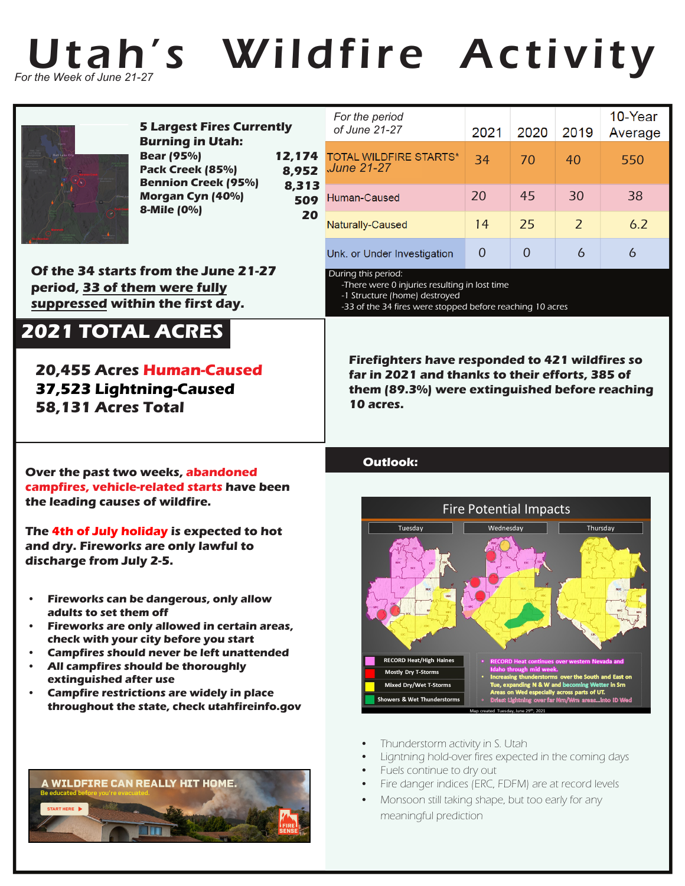

## Utah's Wildfire Activity



**5 Largest Fires Currently Burning in Utah: 12,174 8,952 8,313 Bear (95%) Pack Creek (85%) Bennion Creek (95%) Morgan Cyn (40%) 8-Mile (0%)** 

**Of the 34 starts from the June 21-27 period, 33 of them were fully suppressed within the first day.**

## **2021 TOTAL ACRES**

**20,455 Acres Human-Caused 37,523 Lightning-Caused 58,131 Acres Total**

|                           | For the period<br>of June 21-27             | 2021 | 2020          | 2019           | 10-Year<br>Average |
|---------------------------|---------------------------------------------|------|---------------|----------------|--------------------|
| 174<br>952<br>,313<br>509 | <b>TOTAL WILDFIRE STARTS*</b><br>June 21-27 | 34   | 70            | 40             | 550                |
|                           | Human-Caused                                | 20   | 45            | 30             | 38                 |
| 20                        | Naturally-Caused                            | 14   | 25            | $\overline{z}$ | 6.2                |
|                           | Unk. or Under Investigation                 |      | $\mathcal{L}$ | 6              | 6                  |

During this period:

-There were 0 injuries resulting in lost time -1 Structure (home) destroyed

-33 of the 34 fires were stopped before reaching 10 acres

**Firefighters have responded to 421 wildfires so far in 2021 and thanks to their efforts, 385 of them (89.3%) were extinguished before reaching 10 acres.**

## **Outlook:**



- Thunderstorm activity in S. Utah
- Ligntning hold-over fires expected in the coming days
- Fuels continue to dry out
- Fire danger indices (ERC, FDFM) are at record levels
- Monsoon still taking shape, but too early for any meaningful prediction

**Over the past two weeks, abandoned campfires, vehicle-related starts have been the leading causes of wildfire.**

**The 4th of July holiday is expected to hot and dry. Fireworks are only lawful to discharge from July 2-5.**

- **• Fireworks can be dangerous, only allow adults to set them off**
- **• Fireworks are only allowed in certain areas, check with your city before you start**
- **Campfires should never be left unattended**
- **All campfires should be thoroughly extinguished after use**
- **Campfire restrictions are widely in place throughout the state, check utahfireinfo.gov**